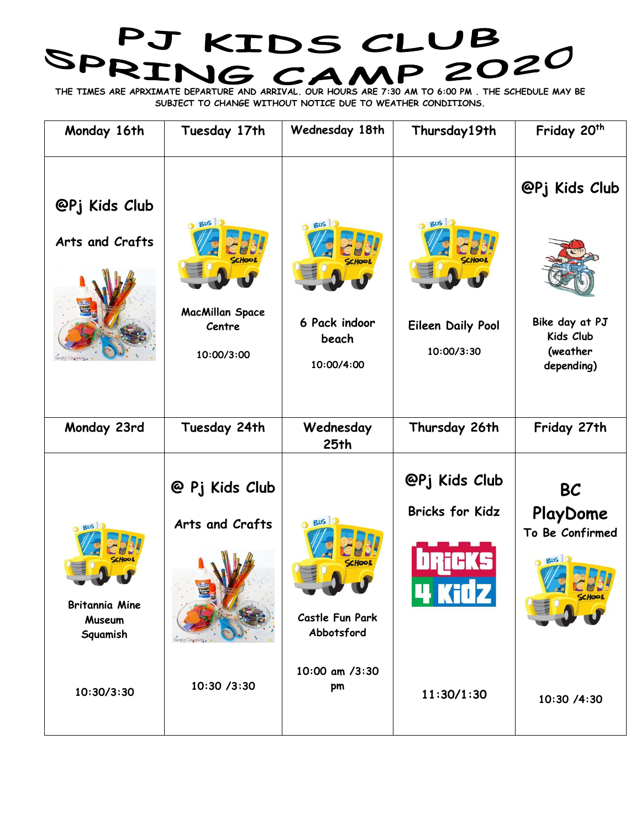## SPRING CAMP 2020

**THE TIMES ARE APRXIMATE DEPARTURE AND ARRIVAL. OUR HOURS ARE 7:30 AM TO 6:00 PM . THE SCHEDULE MAY BE SUBJECT TO CHANGE WITHOUT NOTICE DUE TO WEATHER CONDITIONS.** 

| Monday 16th                                        | Tuesday 17th                                   | Wednesday 18th                       | Thursday19th                            | Friday 20 <sup>th</sup>                                |
|----------------------------------------------------|------------------------------------------------|--------------------------------------|-----------------------------------------|--------------------------------------------------------|
| @Pj Kids Club                                      | <b>Bus</b>                                     | <b>Bus</b> 0                         | $0$ Bus $0$                             | @Pj Kids Club                                          |
| Arts and Crafts                                    |                                                |                                      |                                         |                                                        |
|                                                    |                                                |                                      |                                         |                                                        |
|                                                    | <b>MacMillan Space</b><br>Centre<br>10:00/3:00 | 6 Pack indoor<br>beach<br>10:00/4:00 | <b>Eileen Daily Pool</b><br>10:00/3:30  | Bike day at PJ<br>Kids Club<br>(weather<br>depending)  |
| Monday 23rd                                        | Tuesday 24th                                   | Wednesday<br>25th                    | Thursday 26th                           | Friday 27th                                            |
| <b>Bus</b> C                                       | @ Pj Kids Club<br>Arts and Crafts              | $O$ Bus $O$<br><b>CHOO</b>           | @Pj Kids Club<br><b>Bricks for Kidz</b> | <b>BC</b><br>PlayDome<br>To Be Confirmed<br><b>BUS</b> |
| <b>Britannia Mine</b><br><b>Museum</b><br>Squamish |                                                | Castle Fun Park<br>Abbotsford        | 4 Kidz                                  |                                                        |
| 10:30/3:30                                         | 10:30 /3:30                                    | 10:00 am /3:30<br>pm                 | 11:30/1:30                              | 10:30 /4:30                                            |